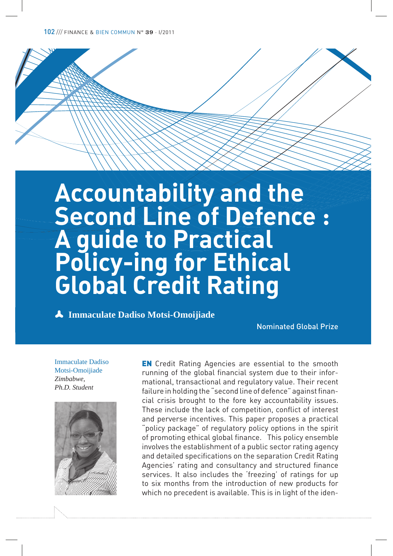# **Accountability and the Second Line of Defence : A guide to Practical Policy-ing for Ethical Global Credit Rating**

p **Immaculate Dadiso Motsi-Omoijiade**

Nominated Global Prize

Immaculate Dadiso Motsi-Omoijiade *Zimbabwe, Ph.D. Student*



**EN** Credit Rating Agencies are essential to the smooth running of the global financial system due to their informational, transactional and regulatory value. Their recent failure in holding the "second line of defence" against financial crisis brought to the fore key accountability issues. These include the lack of competition, conflict of interest and perverse incentives. This paper proposes a practical "policy package" of regulatory policy options in the spirit of promoting ethical global finance. This policy ensemble involves the establishment of a public sector rating agency and detailed specifications on the separation Credit Rating Agencies' rating and consultancy and structured finance services. It also includes the 'freezing' of ratings for up to six months from the introduction of new products for which no precedent is available. This is in light of the iden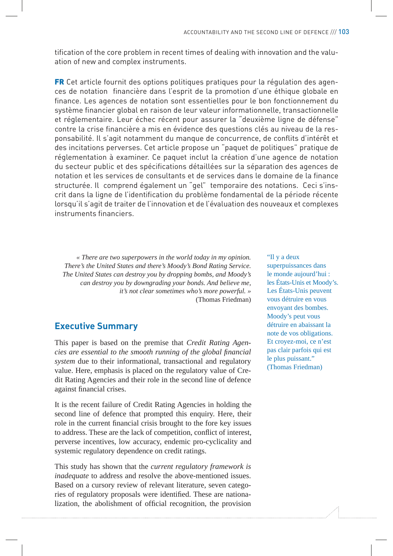tification of the core problem in recent times of dealing with innovation and the valuation of new and complex instruments.

FR Cet article fournit des options politiques pratiques pour la régulation des agences de notation financière dans l'esprit de la promotion d'une éthique globale en finance. Les agences de notation sont essentielles pour le bon fonctionnement du système financier global en raison de leur valeur informationnelle, transactionnelle et réglementaire. Leur échec récent pour assurer la "deuxième ligne de défense" contre la crise financière a mis en évidence des questions clés au niveau de la responsabilité. Il s'agit notamment du manque de concurrence, de conflits d'intérêt et des incitations perverses. Cet article propose un "paquet de politiques" pratique de réglementation à examiner. Ce paquet inclut la création d'une agence de notation du secteur public et des spécifications détaillées sur la séparation des agences de notation et les services de consultants et de services dans le domaine de la finance structurée. Il comprend également un "gel" temporaire des notations. Ceci s'inscrit dans la ligne de l'identification du problème fondamental de la période récente lorsqu'il s'agit de traiter de l'innovation et de l'évaluation des nouveaux et complexes instruments financiers.

*« There are two superpowers in the world today in my opinion. There's the United States and there's Moody's Bond Rating Service. The United States can destroy you by dropping bombs, and Moody's can destroy you by downgrading your bonds. And believe me, it's not clear sometimes who's more powerful. »*  (Thomas Friedman)

#### **Executive Summary**

This paper is based on the premise that *Credit Rating Agencies are essential to the smooth running of the global financial system* due to their informational, transactional and regulatory value. Here, emphasis is placed on the regulatory value of Credit Rating Agencies and their role in the second line of defence against financial crises.

It is the recent failure of Credit Rating Agencies in holding the second line of defence that prompted this enquiry. Here, their role in the current financial crisis brought to the fore key issues to address. These are the lack of competition, conflict of interest, perverse incentives, low accuracy, endemic pro-cyclicality and systemic regulatory dependence on credit ratings.

This study has shown that the *current regulatory framework is inadequate* to address and resolve the above-mentioned issues. Based on a cursory review of relevant literature, seven categories of regulatory proposals were identified. These are nationalization, the abolishment of official recognition, the provision "Il y a deux superpuissances dans le monde aujourd'hui : les États-Unis et Moody's. Les États-Unis peuvent vous détruire en vous envoyant des bombes. Moody's peut vous détruire en abaissant la note de vos obligations. Et croyez-moi, ce n'est pas clair parfois qui est le plus puissant." (Thomas Friedman)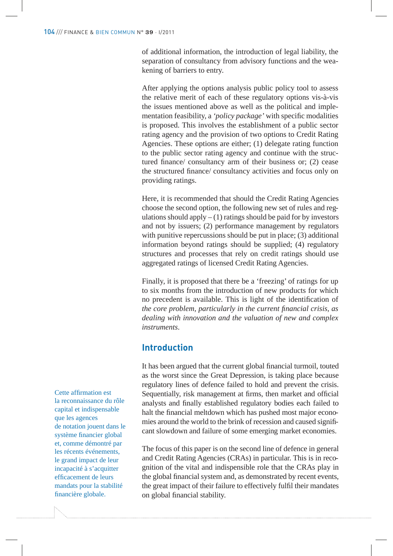of additional information, the introduction of legal liability, the separation of consultancy from advisory functions and the weakening of barriers to entry.

After applying the options analysis public policy tool to assess the relative merit of each of these regulatory options vis-à-vis the issues mentioned above as well as the political and implementation feasibility, a *'policy package'* with specific modalities is proposed. This involves the establishment of a public sector rating agency and the provision of two options to Credit Rating Agencies. These options are either; (1) delegate rating function to the public sector rating agency and continue with the structured finance/ consultancy arm of their business or; (2) cease the structured finance/ consultancy activities and focus only on providing ratings.

Here, it is recommended that should the Credit Rating Agencies choose the second option, the following new set of rules and regulations should apply  $- (1)$  ratings should be paid for by investors and not by issuers; (2) performance management by regulators with punitive repercussions should be put in place; (3) additional information beyond ratings should be supplied; (4) regulatory structures and processes that rely on credit ratings should use aggregated ratings of licensed Credit Rating Agencies.

Finally, it is proposed that there be a 'freezing' of ratings for up to six months from the introduction of new products for which no precedent is available. This is light of the identification of *the core problem, particularly in the current !nancial crisis, as dealing with innovation and the valuation of new and complex instruments*.

#### **Introduction**

It has been argued that the current global financial turmoil, touted as the worst since the Great Depression, is taking place because regulatory lines of defence failed to hold and prevent the crisis. Sequentially, risk management at firms, then market and official analysts and finally established regulatory bodies each failed to halt the financial meltdown which has pushed most major economies around the world to the brink of recession and caused significant slowdown and failure of some emerging market economies.

The focus of this paper is on the second line of defence in general and Credit Rating Agencies (CRAs) in particular. This is in recognition of the vital and indispensible role that the CRAs play in the global financial system and, as demonstrated by recent events, the great impact of their failure to effectively fulfil their mandates on global financial stability.

Cette affirmation est la reconnaissance du rôle capital et indispensable que les agences de notation jouent dans le système financier global et, comme démontré par les récents événements, le grand impact de leur incapacité à s'acquitter efficacement de leurs mandats pour la stabilité financière globale.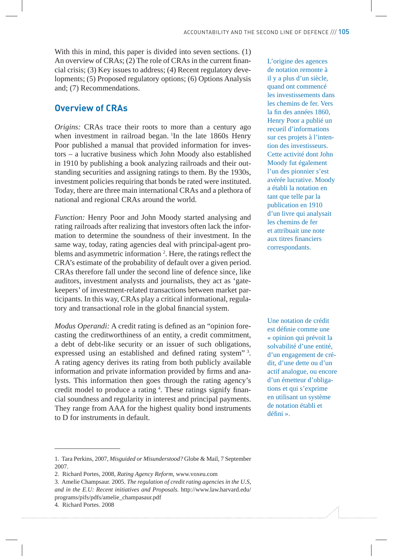With this in mind, this paper is divided into seven sections. (1) An overview of CRAs; (2) The role of CRAs in the current financial crisis; (3) Key issues to address; (4) Recent regulatory developments; (5) Proposed regulatory options; (6) Options Analysis and; (7) Recommendations.

## **Overview of CRAs**

*Origins:* CRAs trace their roots to more than a century ago when investment in railroad began. In the late 1860s Henry Poor published a manual that provided information for investors – a lucrative business which John Moody also established in 1910 by publishing a book analyzing railroads and their outstanding securities and assigning ratings to them. By the 1930s, investment policies requiring that bonds be rated were instituted. Today, there are three main international CRAs and a plethora of national and regional CRAs around the world.

*Function:* Henry Poor and John Moody started analysing and rating railroads after realizing that investors often lack the information to determine the soundness of their investment. In the same way, today, rating agencies deal with principal-agent problems and asymmetric information<sup>2</sup>. Here, the ratings reflect the CRA's estimate of the probability of default over a given period. CRAs therefore fall under the second line of defence since, like auditors, investment analysts and journalists, they act as 'gatekeepers' of investment-related transactions between market participants. In this way, CRAs play a critical informational, regulatory and transactional role in the global financial system.

*Modus Operandi: A credit rating is defined as an "opinion fore*casting the creditworthiness of an entity, a credit commitment, a debt of debt-like security or an issuer of such obligations, expressed using an established and defined rating system"<sup>3</sup>. A rating agency derives its rating from both publicly available information and private information provided by firms and analysts. This information then goes through the rating agency's credit model to produce a rating <sup>4</sup>. These ratings signify financial soundness and regularity in interest and principal payments. They range from AAA for the highest quality bond instruments to D for instruments in default.

1. Tara Perkins, 2007, *Misguided or Misunderstood?* Globe & Mail, 7 September 2007.

3. Amelie Champsaur. 2005. *The regulation of credit rating agencies in the U.S, and in the E.U: Recent initiatives and Proposals.* http://www.law.harvard.edu/ programs/pifs/pdfs/amelie\_champasaur.pdf

L'origine des agences de notation remonte à il y a plus d'un siècle, quand ont commencé les investissements dans les chemins de fer. Vers la fin des années 1860, Henry Poor a publié un recueil d'informations sur ces projets à l'intention des investisseurs. Cette activité dont John Moody fut également l'un des pionnier s'est avérée lucrative. Moody a établi la notation en tant que telle par la publication en 1910 d'un livre qui analysait les chemins de fer et attribuait une note aux titres financiers correspondants.

Une notation de crédit est définie comme une « opinion qui prévoit la solvabilité d'une entité, d'un engagement de crédit, d'une dette ou d'un actif analogue, ou encore d'un émetteur d'obligations et qui s'exprime en utilisant un système de notation établi et défini ».

<sup>2.</sup> Richard Portes, 2008, *Rating Agency Reform,* www.voxeu.com

<sup>4.</sup> Richard Portes. 2008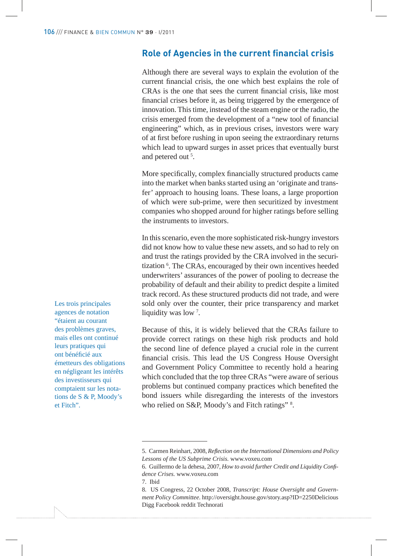### **Role of Agencies in the current financial crisis**

Although there are several ways to explain the evolution of the current financial crisis, the one which best explains the role of CRAs is the one that sees the current financial crisis, like most financial crises before it, as being triggered by the emergence of innovation. This time, instead of the steam engine or the radio, the crisis emerged from the development of a "new tool of financial engineering" which, as in previous crises, investors were wary of at first before rushing in upon seeing the extraordinary returns which lead to upward surges in asset prices that eventually burst and petered out <sup>5</sup>.

More specifically, complex financially structured products came into the market when banks started using an 'originate and transfer' approach to housing loans. These loans, a large proportion of which were sub-prime, were then securitized by investment companies who shopped around for higher ratings before selling the instruments to investors.

In this scenario, even the more sophisticated risk-hungry investors did not know how to value these new assets, and so had to rely on and trust the ratings provided by the CRA involved in the securitization <sup>6</sup>. The CRAs, encouraged by their own incentives heeded underwriters' assurances of the power of pooling to decrease the probability of default and their ability to predict despite a limited track record. As these structured products did not trade, and were sold only over the counter, their price transparency and market liquidity was low<sup>7</sup>.

Because of this, it is widely believed that the CRAs failure to provide correct ratings on these high risk products and hold the second line of defence played a crucial role in the current financial crisis. This lead the US Congress House Oversight and Government Policy Committee to recently hold a hearing which concluded that the top three CRAs "were aware of serious problems but continued company practices which benefited the bond issuers while disregarding the interests of the investors who relied on S&P, Moody's and Fitch ratings" 8.

7. Ibid

Les trois principales agences de notation "étaient au courant des problèmes graves, mais elles ont continué leurs pratiques qui ont bénéficié aux émetteurs des obligations en négligeant les intérêts des investisseurs qui comptaient sur les notations de S & P, Moody's et Fitch".

<sup>5.</sup> Carmen Reinhart, 2008, *Reflection on the International Dimensions and Policy Lessons of the US Subprime Crisis.* www.voxeu.com

<sup>6.</sup> Guillermo de la dehesa, 2007, *How to avoid further Credit and Liquidity Con! dence Crises.* www.voxeu.com

<sup>8.</sup> US Congress, 22 October 2008, *Transcript: House Oversight and Government Policy Committee*. http://oversight.house.gov/story.asp?ID=2250Delicious Digg Facebook reddit Technorati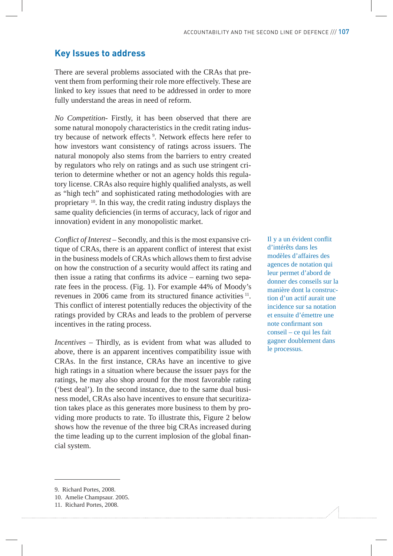#### **Key Issues to address**

There are several problems associated with the CRAs that prevent them from performing their role more effectively. These are linked to key issues that need to be addressed in order to more fully understand the areas in need of reform.

*No Competition*- Firstly, it has been observed that there are some natural monopoly characteristics in the credit rating industry because of network effects<sup>9</sup>. Network effects here refer to how investors want consistency of ratings across issuers. The natural monopoly also stems from the barriers to entry created by regulators who rely on ratings and as such use stringent criterion to determine whether or not an agency holds this regulatory license. CRAs also require highly qualified analysts, as well as "high tech" and sophisticated rating methodologies with are proprietary <sup>10</sup>. In this way, the credit rating industry displays the same quality deficiencies (in terms of accuracy, lack of rigor and innovation) evident in any monopolistic market.

*Conflict of Interest* – Secondly, and this is the most expansive critique of CRAs, there is an apparent conflict of interest that exist in the business models of CRAs which allows them to first advise on how the construction of a security would affect its rating and then issue a rating that confirms its advice  $-$  earning two separate fees in the process. (Fig. 1). For example 44% of Moody's revenues in 2006 came from its structured finance activities  $11$ . This conflict of interest potentially reduces the objectivity of the ratings provided by CRAs and leads to the problem of perverse incentives in the rating process.

*Incentives* – Thirdly, as is evident from what was alluded to above, there is an apparent incentives compatibility issue with CRAs. In the first instance, CRAs have an incentive to give high ratings in a situation where because the issuer pays for the ratings, he may also shop around for the most favorable rating ('best deal'). In the second instance, due to the same dual business model, CRAs also have incentives to ensure that securitization takes place as this generates more business to them by providing more products to rate. To illustrate this, Figure 2 below shows how the revenue of the three big CRAs increased during the time leading up to the current implosion of the global financial system.

Il y a un évident conflit d'intérêts dans les modèles d'affaires des agences de notation qui leur permet d'abord de donner des conseils sur la manière dont la construction d'un actif aurait une incidence sur sa notation et ensuite d'émettre une note confirmant son conseil – ce qui les fait gagner doublement dans le processus.

<sup>9.</sup> Richard Portes, 2008.

<sup>10.</sup> Amelie Champsaur. 2005.

<sup>11.</sup> Richard Portes, 2008.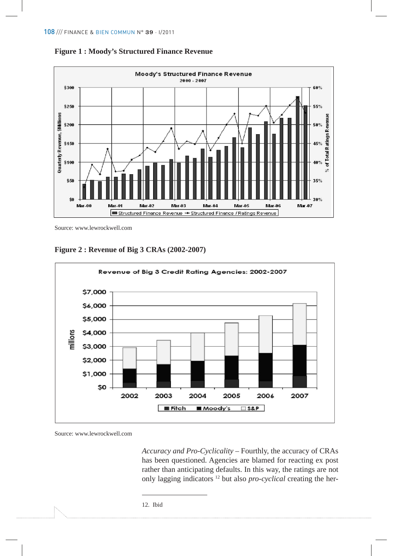



Source: www.lewrockwell.com





Source: www.lewrockwell.com

*Accuracy and Pro-Cyclicality* – Fourthly, the accuracy of CRAs has been questioned. Agencies are blamed for reacting ex post rather than anticipating defaults. In this way, the ratings are not only lagging indicators 12 but also *pro-cyclical* creating the her-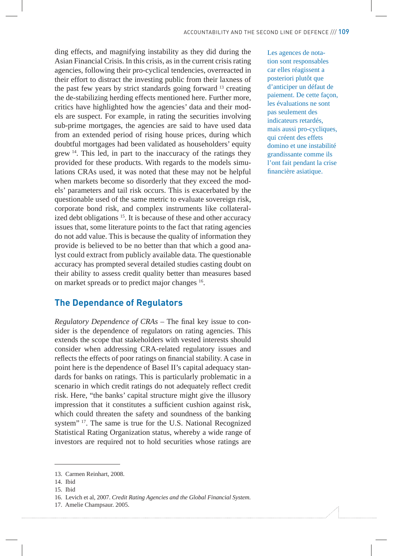ding effects, and magnifying instability as they did during the Asian Financial Crisis. In this crisis, as in the current crisis rating agencies, following their pro-cyclical tendencies, overreacted in their effort to distract the investing public from their laxness of the past few years by strict standards going forward  $13$  creating the de-stabilizing herding effects mentioned here. Further more, critics have highlighted how the agencies' data and their models are suspect. For example, in rating the securities involving sub-prime mortgages, the agencies are said to have used data from an extended period of rising house prices, during which doubtful mortgages had been validated as householders' equity grew <sup>14</sup>. This led, in part to the inaccuracy of the ratings they provided for these products. With regards to the models simulations CRAs used, it was noted that these may not be helpful when markets become so disorderly that they exceed the models' parameters and tail risk occurs. This is exacerbated by the questionable used of the same metric to evaluate sovereign risk, corporate bond risk, and complex instruments like collateralized debt obligations<sup>15</sup>. It is because of these and other accuracy issues that, some literature points to the fact that rating agencies do not add value. This is because the quality of information they provide is believed to be no better than that which a good analyst could extract from publicly available data. The questionable accuracy has prompted several detailed studies casting doubt on their ability to assess credit quality better than measures based on market spreads or to predict major changes <sup>16</sup>.

#### **The Dependance of Regulators**

*Regulatory Dependence of CRAs – The final key issue to con*sider is the dependence of regulators on rating agencies. This extends the scope that stakeholders with vested interests should consider when addressing CRA-related regulatory issues and reflects the effects of poor ratings on financial stability. A case in point here is the dependence of Basel II's capital adequacy standards for banks on ratings. This is particularly problematic in a scenario in which credit ratings do not adequately reflect credit risk. Here, "the banks' capital structure might give the illusory impression that it constitutes a sufficient cushion against risk, which could threaten the safety and soundness of the banking system" <sup>17</sup>. The same is true for the U.S. National Recognized Statistical Rating Organization status, whereby a wide range of investors are required not to hold securities whose ratings are

Les agences de notation sont responsables car elles réagissent a posteriori plutôt que d'anticiper un défaut de paiement. De cette façon, les évaluations ne sont pas seulement des indicateurs retardés, mais aussi pro-cycliques, qui créent des effets domino et une instabilité grandissante comme ils l'ont fait pendant la crise financière asiatique.

<sup>13.</sup> Carmen Reinhart, 2008.

<sup>14.</sup> Ibid

<sup>15.</sup> Ibid

<sup>16.</sup> Levich et al, 2007. *Credit Rating Agencies and the Global Financial System.*

<sup>17.</sup> Amelie Champsaur. 2005.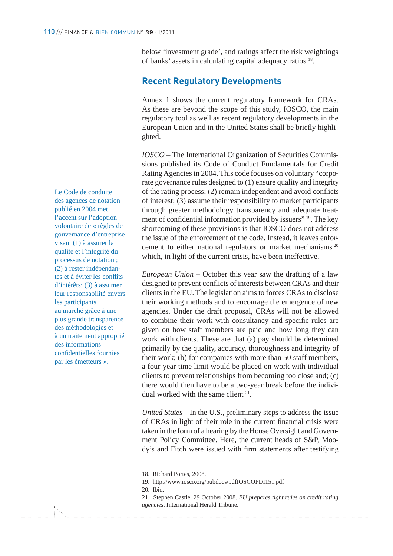below 'investment grade', and ratings affect the risk weightings of banks' assets in calculating capital adequacy ratios <sup>18</sup>.

#### **Recent Regulatory Developments**

Annex 1 shows the current regulatory framework for CRAs. As these are beyond the scope of this study, IOSCO, the main regulatory tool as well as recent regulatory developments in the European Union and in the United States shall be briefly highlighted.

*IOSCO* – The International Organization of Securities Commissions published its Code of Conduct Fundamentals for Credit Rating Agencies in 2004. This code focuses on voluntary "corporate governance rules designed to (1) ensure quality and integrity of the rating process; (2) remain independent and avoid conflicts of interest; (3) assume their responsibility to market participants through greater methodology transparency and adequate treatment of confidential information provided by issuers" <sup>19</sup>. The key shortcoming of these provisions is that IOSCO does not address the issue of the enforcement of the code. Instead, it leaves enforcement to either national regulators or market mechanisms <sup>20</sup> which, in light of the current crisis, have been ineffective.

*European Union –* October this year saw the drafting of a law designed to prevent conflicts of interests between CRAs and their clients in the EU. The legislation aims to forces CRAs to disclose their working methods and to encourage the emergence of new agencies. Under the draft proposal, CRAs will not be allowed to combine their work with consultancy and specific rules are given on how staff members are paid and how long they can work with clients. These are that (a) pay should be determined primarily by the quality, accuracy, thoroughness and integrity of their work; (b) for companies with more than 50 staff members, a four-year time limit would be placed on work with individual clients to prevent relationships from becoming too close and; (c) there would then have to be a two-year break before the individual worked with the same client <sup>21</sup>.

*United States –* In the U.S., preliminary steps to address the issue of CRAs in light of their role in the current financial crisis were taken in the form of a hearing by the House Oversight and Government Policy Committee. Here, the current heads of S&P, Moody's and Fitch were issued with firm statements after testifying

Le Code de conduite des agences de notation publié en 2004 met l'accent sur l'adoption volontaire de « règles de gouvernance d'entreprise visant (1) à assurer la qualité et l'intégrité du processus de notation ; (2) à rester indépendantes et à éviter les conflits d'intérêts; (3) à assumer leur responsabilité envers les participants au marché grâce à une plus grande transparence des méthodologies et à un traitement approprié des informations confidentielles fournies par les émetteurs ».

<sup>18.</sup> Richard Portes, 2008.

<sup>19.</sup> http://www.iosco.org/pubdocs/pdfIOSCOPDI151.pdf

<sup>20.</sup> Ibid.

<sup>21.</sup> Stephen Castle, 29 October 2008. *EU prepares tight rules on credit rating agencies*. International Herald Tribune**.**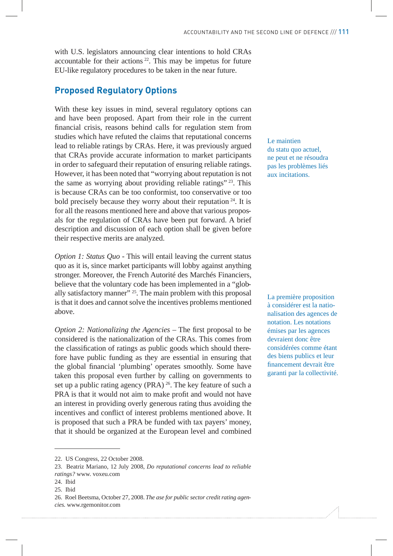with U.S. legislators announcing clear intentions to hold CRAs accountable for their actions  $22$ . This may be impetus for future EU-like regulatory procedures to be taken in the near future.

#### **Proposed Regulatory Options**

With these key issues in mind, several regulatory options can and have been proposed. Apart from their role in the current financial crisis, reasons behind calls for regulation stem from studies which have refuted the claims that reputational concerns lead to reliable ratings by CRAs. Here, it was previously argued that CRAs provide accurate information to market participants in order to safeguard their reputation of ensuring reliable ratings. However, it has been noted that "worrying about reputation is not the same as worrying about providing reliable ratings" <sup>23</sup>. This is because CRAs can be too conformist, too conservative or too bold precisely because they worry about their reputation  $24$ . It is for all the reasons mentioned here and above that various proposals for the regulation of CRAs have been put forward. A brief description and discussion of each option shall be given before their respective merits are analyzed.

*Option 1: Status Quo -* This will entail leaving the current status quo as it is, since market participants will lobby against anything stronger. Moreover, the French Autorité des Marchés Financiers, believe that the voluntary code has been implemented in a "globally satisfactory manner"  $25$ . The main problem with this proposal is that it does and cannot solve the incentives problems mentioned above.

*Option 2: Nationalizing the Agencies – The first proposal to be* considered is the nationalization of the CRAs. This comes from the classification of ratings as public goods which should therefore have public funding as they are essential in ensuring that the global financial 'plumbing' operates smoothly. Some have taken this proposal even further by calling on governments to set up a public rating agency (PRA)  $^{26}$ . The key feature of such a PRA is that it would not aim to make profit and would not have an interest in providing overly generous rating thus avoiding the incentives and conflict of interest problems mentioned above. It is proposed that such a PRA be funded with tax payers' money, that it should be organized at the European level and combined Le maintien du statu quo actuel, ne peut et ne résoudra pas les problèmes liés aux incitations.

La première proposition à considérer est la nationalisation des agences de notation. Les notations émises par les agences devraient donc être considérées comme étant des biens publics et leur financement devrait être garanti par la collectivité.

<sup>22.</sup> US Congress, 22 October 2008.

<sup>23.</sup> Beatriz Mariano, 12 July 2008, *Do reputational concerns lead to reliable ratings?* www. voxeu.com

<sup>24.</sup> Ibid

<sup>25.</sup> Ibid

<sup>26.</sup> Roel Beetsma, October 27, 2008. *The ase for public sector credit rating agencies.* www.rgemonitor.com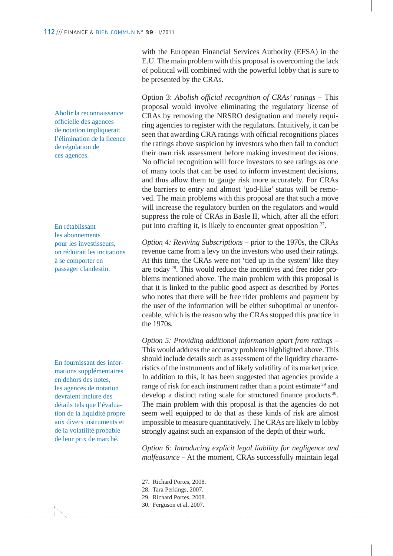Abolir la reconnaissance officielle des agences de notation impliquerait l'élimination de la licence de régulation de ces agences.

En rétablissant les abonnements pour les investisseurs, on réduirait les incitations à se comporter en passager clandestin.

En fournissant des informations supplémentaires en dehors des notes, les agences de notation devraient inclure des détails tels que l'évaluation de la liquidité propre aux divers instruments et de la volatilité probable de leur prix de marché.

with the European Financial Services Authority (EFSA) in the E.U. The main problem with this proposal is overcoming the lack of political will combined with the powerful lobby that is sure to be presented by the CRAs.

Option 3: *Abolish of!cial recognition of CRAs' ratings* – This proposal would involve eliminating the regulatory license of CRAs by removing the NRSRO designation and merely requiring agencies to register with the regulators. Intuitively, it can be seen that awarding CRA ratings with official recognitions places the ratings above suspicion by investors who then fail to conduct their own risk assessment before making investment decisions. No official recognition will force investors to see ratings as one of many tools that can be used to inform investment decisions, and thus allow them to gauge risk more accurately. For CRAs the barriers to entry and almost 'god-like' status will be removed. The main problems with this proposal are that such a move will increase the regulatory burden on the regulators and would suppress the role of CRAs in Basle II, which, after all the effort put into crafting it, is likely to encounter great opposition <sup>27</sup>.

*Option 4: Reviving Subscriptions* – prior to the 1970s, the CRAs revenue came from a levy on the investors who used their ratings. At this time, the CRAs were not 'tied up in the system' like they are today 28. This would reduce the incentives and free rider problems mentioned above. The main problem with this proposal is that it is linked to the public good aspect as described by Portes who notes that there will be free rider problems and payment by the user of the information will be either suboptimal or unenforceable, which is the reason why the CRAs stopped this practice in the 1970s.

*Option 5: Providing additional information apart from ratings –*  This would address the accuracy problems highlighted above. This should include details such as assessment of the liquidity characteristics of the instruments and of likely volatility of its market price. In addition to this, it has been suggested that agencies provide a range of risk for each instrument rather than a point estimate<sup>29</sup> and develop a distinct rating scale for structured finance products<sup>30</sup>. The main problem with this proposal is that the agencies do not seem well equipped to do that as these kinds of risk are almost impossible to measure quantitatively. The CRAs are likely to lobby strongly against such an expansion of the depth of their work.

*Option 6: Introducing explicit legal liability for negligence and malfeasance –* At the moment, CRAs successfully maintain legal

<sup>27.</sup> Richard Portes, 2008.

<sup>28.</sup> Tara Perkings, 2007.

<sup>29.</sup> Richard Portes, 2008.

<sup>30.</sup> Ferguson et al, 2007.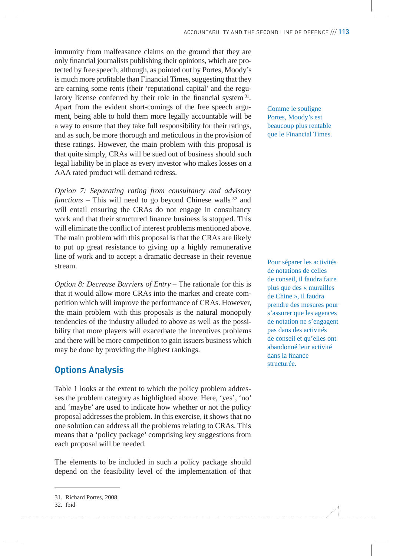immunity from malfeasance claims on the ground that they are only financial journalists publishing their opinions, which are protected by free speech, although, as pointed out by Portes, Moody's is much more profitable than Financial Times, suggesting that they are earning some rents (their 'reputational capital' and the regulatory license conferred by their role in the financial system  $31$ . Apart from the evident short-comings of the free speech argument, being able to hold them more legally accountable will be a way to ensure that they take full responsibility for their ratings, and as such, be more thorough and meticulous in the provision of these ratings. However, the main problem with this proposal is that quite simply, CRAs will be sued out of business should such legal liability be in place as every investor who makes losses on a AAA rated product will demand redress.

*Option 7: Separating rating from consultancy and advisory functions –* This will need to go beyond Chinese walls <sup>32</sup> and will entail ensuring the CRAs do not engage in consultancy work and that their structured finance business is stopped. This will eliminate the conflict of interest problems mentioned above. The main problem with this proposal is that the CRAs are likely to put up great resistance to giving up a highly remunerative line of work and to accept a dramatic decrease in their revenue stream.

*Option 8: Decrease Barriers of Entry - The rationale for this is* that it would allow more CRAs into the market and create competition which will improve the performance of CRAs. However, the main problem with this proposals is the natural monopoly tendencies of the industry alluded to above as well as the possibility that more players will exacerbate the incentives problems and there will be more competition to gain issuers business which may be done by providing the highest rankings.

### **Options Analysis**

Table 1 looks at the extent to which the policy problem addresses the problem category as highlighted above. Here, 'yes', 'no' and 'maybe' are used to indicate how whether or not the policy proposal addresses the problem. In this exercise, it shows that no one solution can address all the problems relating to CRAs. This means that a 'policy package' comprising key suggestions from each proposal will be needed.

The elements to be included in such a policy package should depend on the feasibility level of the implementation of that

Comme le souligne Portes, Moody's est beaucoup plus rentable que le Financial Times.

Pour séparer les activités de notations de celles de conseil, il faudra faire plus que des « murailles de Chine », il faudra prendre des mesures pour s'assurer que les agences de notation ne s'engagent pas dans des activités de conseil et qu'elles ont abandonné leur activité dans la finance structurée.

<sup>31.</sup> Richard Portes, 2008.

<sup>32.</sup> Ibid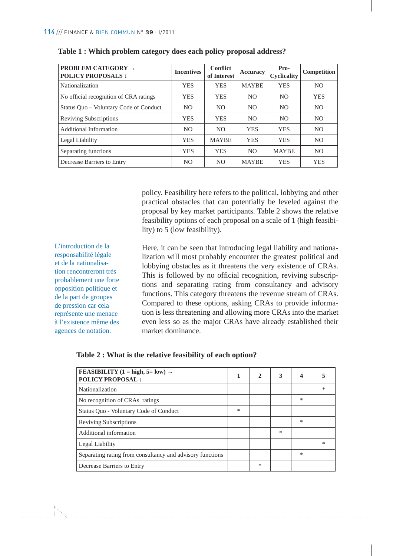| <b>PROBLEM CATEGORY <math>\rightarrow</math></b><br><b>POLICY PROPOSALS 1</b> | <b>Incentives</b> | <b>Conflict</b><br>of Interest | <b>Accuracy</b> | Pro-<br><b>Cyclicality</b> | Competition    |
|-------------------------------------------------------------------------------|-------------------|--------------------------------|-----------------|----------------------------|----------------|
| Nationalization                                                               | <b>YES</b>        | <b>YES</b>                     | <b>MAYBE</b>    | <b>YES</b>                 | NO.            |
| No official recognition of CRA ratings                                        | <b>YES</b>        | <b>YES</b>                     | N <sub>O</sub>  | N <sub>O</sub>             | <b>YES</b>     |
| Status Quo – Voluntary Code of Conduct                                        | N <sub>O</sub>    | NO.                            | N <sub>O</sub>  | N <sub>O</sub>             | N <sub>O</sub> |
| <b>Reviving Subscriptions</b>                                                 | <b>YES</b>        | <b>YES</b>                     | N <sub>O</sub>  | N <sub>O</sub>             | N <sub>O</sub> |
| Additional Information                                                        | N <sub>O</sub>    | NO.                            | <b>YES</b>      | <b>YES</b>                 | N <sub>O</sub> |
| Legal Liability                                                               | <b>YES</b>        | <b>MAYBE</b>                   | <b>YES</b>      | <b>YES</b>                 | NO.            |
| Separating functions                                                          | <b>YES</b>        | <b>YES</b>                     | N <sub>O</sub>  | <b>MAYBE</b>               | NO.            |
| Decrease Barriers to Entry                                                    | N <sub>O</sub>    | NO.                            | <b>MAYBE</b>    | <b>YES</b>                 | <b>YES</b>     |

#### **Table 1 : Which problem category does each policy proposal address?**

policy. Feasibility here refers to the political, lobbying and other practical obstacles that can potentially be leveled against the proposal by key market participants. Table 2 shows the relative feasibility options of each proposal on a scale of 1 (high feasibility) to 5 (low feasibility).

L'introduction de la responsabilité légale et de la nationalisation rencontreront très probablement une forte opposition politique et de la part de groupes de pression car cela représente une menace à l'existence même des agences de notation.

Here, it can be seen that introducing legal liability and nationalization will most probably encounter the greatest political and lobbying obstacles as it threatens the very existence of CRAs. This is followed by no official recognition, reviving subscriptions and separating rating from consultancy and advisory functions. This category threatens the revenue stream of CRAs. Compared to these options, asking CRAs to provide information is less threatening and allowing more CRAs into the market even less so as the major CRAs have already established their market dominance.

| FEASIBILITY (1 = high, 5= low) $\rightarrow$<br><b>POLICY PROPOSAL 1</b> |  | 2 | 3 | $\boldsymbol{\Lambda}$ |        |
|--------------------------------------------------------------------------|--|---|---|------------------------|--------|
| Nationalization                                                          |  |   |   |                        | $\ast$ |
| No recognition of CRAs ratings                                           |  |   |   | *                      |        |
| Status Quo - Voluntary Code of Conduct                                   |  |   |   |                        |        |
| <b>Reviving Subscriptions</b>                                            |  |   |   | ∗                      |        |
| Additional information                                                   |  |   | * |                        |        |
| Legal Liability                                                          |  |   |   |                        | $\ast$ |
| Separating rating from consultancy and advisory functions                |  |   |   | ∗                      |        |
| Decrease Barriers to Entry                                               |  | * |   |                        |        |

#### **Table 2 : What is the relative feasibility of each option?**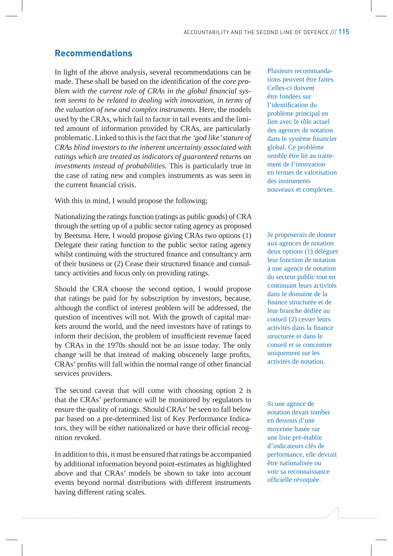#### **Recommendations**

In light of the above analysis, several recommendations can be made. These shall be based on the identification of the *core pro*blem with the current role of CRAs in the global financial sys*tem seems to be related to dealing with innovation, in terms of the valuation of new and complex instruments*. Here, the models used by the CRAs, which fail to factor in tail events and the limited amount of information provided by CRAs, are particularly problematic. Linked to this is the fact that *the 'god like' stature of CRAs blind investors to the inherent uncertainty associated with ratings which are treated as indicators of guaranteed returns on investments instead of probabilities.* This is particularly true in the case of rating new and complex instruments as was seen in the current financial crisis.

With this in mind, I would propose the following;

Nationalizing the ratings function (ratings as public goods) of CRA through the setting up of a public sector rating agency as proposed by Beetsma. Here, I would propose giving CRAs two options (1) Delegate their rating function to the public sector rating agency whilst continuing with the structured finance and consultancy arm of their business or (2) Cease their structured finance and consultancy activities and focus only on providing ratings.

Should the CRA choose the second option, I would propose that ratings be paid for by subscription by investors, because, although the conflict of interest problem will be addressed, the question of incentives will not. With the growth of capital markets around the world, and the need investors have of ratings to inform their decision, the problem of insufficient revenue faced by CRAs in the 1970s should not be an issue today. The only change will be that instead of making obscenely large profits, CRAs' profits will fall within the normal range of other financial services providers.

The second caveat that will come with choosing option 2 is that the CRAs' performance will be monitored by regulators to ensure the quality of ratings. Should CRAs' be seen to fall below par based on a pre-determined list of Key Performance Indicators, they will be either nationalized or have their official recognition revoked.

In addition to this, it must be ensured that ratings be accompanied by additional information beyond point-estimates as highlighted above and that CRAs' models be shown to take into account events beyond normal distributions with different instruments having different rating scales.

Plusieurs recommandations peuvent être faites. Celles-ci doivent être fondées sur l'identification du problème principal en lien avec le rôle actuel des agences de notation dans le système financier global. Ce problème semble être lié au traitement de l'innovation en termes de valorisation des instruments nouveaux et complexes.

Je proposerais de donner aux agences de notation deux options (1) déléguer leur fonction de notation à une agence de notation du secteur public tout en continuant leurs activités dans le domaine de la finance structurée et de leur branche dédiée au conseil (2) cesser leurs activités dans la finance structurée et dans le conseil et se concentrer uniquement sur les activités de notation.

Si une agence de notation devait tomber en dessous d'une moyenne basée sur une liste pré-établie d'indicateurs clés de performance, elle devrait être nationalisée ou voir sa reconnaissance officielle révoquée.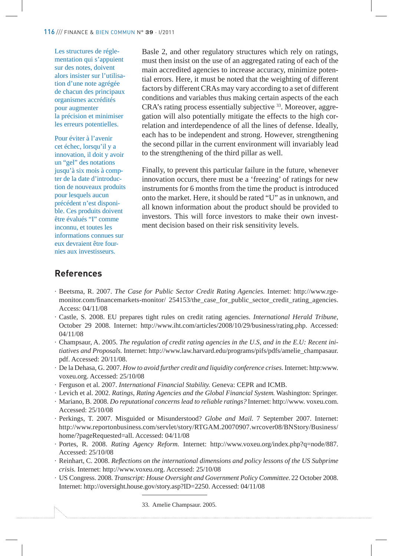Les structures de réglementation qui s'appuient sur des notes, doivent alors insister sur l'utilisation d'une note agrégée de chacun des principaux organismes accrédités pour augmenter la précision et minimiser les erreurs potentielles.

Pour éviter à l'avenir cet échec, lorsqu'il y a innovation, il doit y avoir un "gel" des notations jusqu'à six mois à compter de la date d'introduction de nouveaux produits pour lesquels aucun précédent n'est disponible. Ces produits doivent être évalués "I" comme inconnu, et toutes les informations connues sur eux devraient être fournies aux investisseurs.

Basle 2, and other regulatory structures which rely on ratings, must then insist on the use of an aggregated rating of each of the main accredited agencies to increase accuracy, minimize potential errors. Here, it must be noted that the weighting of different factors by different CRAs may vary according to a set of different conditions and variables thus making certain aspects of the each CRA's rating process essentially subjective 33. Moreover, aggregation will also potentially mitigate the effects to the high correlation and interdependence of all the lines of defense. Ideally, each has to be independent and strong. However, strengthening the second pillar in the current environment will invariably lead to the strengthening of the third pillar as well.

Finally, to prevent this particular failure in the future, whenever innovation occurs, there must be a 'freezing' of ratings for new instruments for 6 months from the time the product is introduced onto the market. Here, it should be rated "U" as in unknown, and all known information about the product should be provided to investors. This will force investors to make their own investment decision based on their risk sensitivity levels.

#### **References**

- · Beetsma, R. 2007. *The Case for Public Sector Credit Rating Agencies.* Internet: http://www.rgemonitor.com/financemarkets-monitor/ 254153/the case for public sector credit rating agencies. Access: 04/11/08
- · Castle, S. 2008. EU prepares tight rules on credit rating agencies. *International Herald Tribune,* October 29 2008. Internet: http://www.iht.com/articles/2008/10/29/business/rating.php. Accessed: 04/11/08
- · Champsaur, A. 2005. *The regulation of credit rating agencies in the U.S, and in the E.U: Recent initiatives and Proposals.* Internet: http://www.law.harvard.edu/programs/pifs/pdfs/amelie\_champasaur. pdf. Accessed: 20/11/08.
- · De la Dehasa, G. 2007. *How to avoid further credit and liquidity conference crises.* Internet: http:www. voxeu.org. Accessed: 25/10/08
- · Ferguson et al. 2007. *International Financial Stability.* Geneva: CEPR and ICMB.
- · Levich et al. 2002. *Ratings, Rating Agencies and the Global Financial System*. Washington: Springer.
- · Mariano, B. 2008. *Do reputational concerns lead to reliable ratings?* Internet: http://www. voxeu.com. Accessed: 25/10/08
- · Perkings, T. 2007. Misguided or Misunderstood? *Globe and Mail.* 7 September 2007. Internet: http://www.reportonbusiness.com/servlet/story/RTGAM.20070907.wrcover08/BNStory/Business/ home/?pageRequested=all. Accessed: 04/11/08
- · Portes, R. 2008. *Rating Agency Reform.* Internet: http://www.voxeu.org/index.php?q=node/887. Accessed: 25/10/08
- · Reinhart, C. 2008. *Re"ections on the international dimensions and policy lessons of the US Subprime crisis.* Internet: http://www.voxeu.org. Accessed: 25/10/08
- · US Congress. 2008. *Transcript: House Oversight and Government Policy Committee.* 22 October 2008. Internet: http://oversight.house.gov/story.asp?ID=2250. Accessed: 04/11/08

33. Amelie Champsaur. 2005.